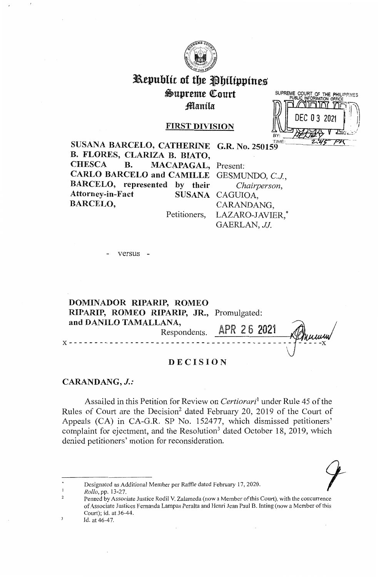

# Republic of the Philippines Supreme Court Manila

### **FIRST DIVISION**

SUPREME COURT OF THE PHILIPPINES TIME

SUSANA BARCELO, CATHERINE G.R. No. 250159 B. FLORES, CLARIZA B. BIATO, **B. CHESCA** MACAPAGAL, Present: CARLO BARCELO and CAMILLE GESMUNDO, C.J., BARCELO, represented by their Chairperson, Attorney-in-Fact SUSANA CAGUIOA, **BARCELO,** CARANDANG,

Petitioners,

LAZARO-JAVIER,\* GAERLAN, JJ.

versus -

DOMINADOR RIPARIP, ROMEO RIPARIP, ROMEO RIPARIP, JR., Promulgated: and DANILO TAMALLANA, APR 26 2021 Respondents.

# **DECISION**

CARANDANG, J.:

Assailed in this Petition for Review on *Certiorari*<sup>1</sup> under Rule 45 of the Rules of Court are the Decision<sup>2</sup> dated February 20, 2019 of the Court of Appeals (CA) in CA-G.R. SP No. 152477, which dismissed petitioners' complaint for ejectment, and the Resolution<sup>3</sup> dated October 18, 2019, which denied petitioners' motion for reconsideration.



Designated as Additional Member per Raffle dated February 17, 2020.

Rollo, pp. 13-27.

 $\mathfrak{D}$ Penned by Associate Justice Rodil V. Zalameda (now a Member of this Court), with the concurrence of Associate Justices Fernanda Lampas Peralta and Henri Jean Paul B. Inting (now a Member of this Court); id. at 36-44. Id. at 46-47.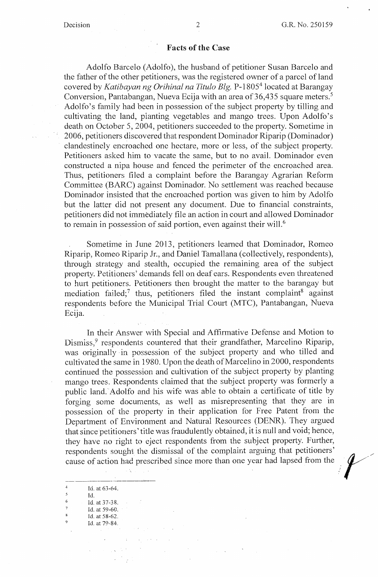### **Facts of the Case**

Adolfo Barcelo (Adolfo), the husband of petitioner Susan Barcelo and the father of the other petitioners, was the registered owner of a parcel of land covered by *Katibayan ng Orihinal na Titulo Elg.* P-1805<sup>4</sup>located at Barangay Conversion, Pantabangan, Nueva Ecija with an area of 36,435 square meters. <sup>5</sup> Adolfo's family had been in possession of the subject property by tilling and cultivating the land, planting vegetables and mango trees. Upon Adolfo's death on October 5, 2004, petitioners succeeded to the property. Sometime in 2006, petitioners discovered that respondent Dominador Riparip (Dominador) clandestinely encroached one hectare, more or less, of the subject property. Petitioners asked him to vacate the same, but to no avail. Dominador even constructed a nipa house and fenced the perimeter of the encroached area. Thus, petitioners filed a complaint before the Barangay Agrarian Reform Committee (BARC) against Dominador. No settlement was reached because Dominador insisted that the encroached portion was given to him by Adolfo but the latter did not present any document. Due to financial constraints, petitioners did not immediately file an action in court and allowed Dominador to remain in possession of said portion, even against their will.<sup>6</sup>

Sometime in June 2013, petitioners learned that Dominador, Romeo Riparip, Romeo Riparip Jr., and Daniel Tamallana (collectively, respondents), through strategy and stealth, occupied the remaining area of the subject property. Petitioners' demands fell on deaf ears. Respondents even threatened to hurt petitioners. Petitioners then brought the matter to the barangay but mediation failed;<sup>7</sup> thus, petitioners filed the instant complaint<sup>8</sup> against respondents before the Municipal Trial Court (MTC), Pantabangan, Nueva Ecija.

In their Answer with Special and Affirmative Defense and Motion to Dismiss,<sup>9</sup> respondents countered that their grandfather, Marcelino Riparip, was originally in possession of the subject property and who tilled and cultivated the same in 1980. Upon the death of Marcelino in 2000, respondents continued the possession and cultivation of the subject property by planting mango trees. Respondents claimed that the subject property was formerly a public land. Adolfo and his wife was able to obtain a certificate of title by forging some documents, as well as misrepresenting that they are in possession of the property in their application for Free Patent from the Department of Environment and Natural Resources (DENR). They argued that since petitioners' title was fraudulently obtained, it is null and void; hence, they have no right to eject respondents from the subject property. Further, respondents sought the dismissal of the complaint arguing that petitioners' cause of action had prescribed since more than one year had lapsed from the  $\bullet$ 

| 4                        | Id. at 63-64.              |  |
|--------------------------|----------------------------|--|
| $\overline{\phantom{a}}$ | Id.                        |  |
| 6                        | Id. at 37-38.              |  |
| 7                        | Id. at $59-60$ .<br>$\sim$ |  |
| <b>x</b>                 | Id. at 58-62.              |  |
| ۰                        | Id. at 79-84.              |  |
|                          |                            |  |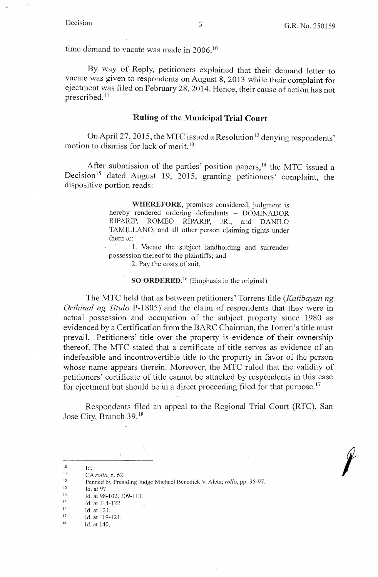time demand to vacate was made in 2006.<sup>10</sup>

By way of Reply, petitioners explained that their demand letter to vacate was given to respondents on August 8, 2013 while their complaint for ejectment was filed on February 28, 2014. Hence, their cause of action has not prescribed. <sup>11</sup>

### **Ruling of the Municipal Trial Court**

On April 27, 2015, the MTC issued a Resolution<sup>12</sup> denying respondents' motion to dismiss for lack of merit. <sup>13</sup>

After submission of the parties' position papers,  $14$  the MTC issued a Decision<sup>15</sup> dated August 19, 2015, granting petitioners' complaint, the dispositive portion reads:

> **WHEREFORE,** premises considered, judgment is hereby rendered ordering defendants - DOMINADOR RIPARIP, ROMEO RIPARIP, JR., and DANILO TAMILLANO, and all other person claiming rights under them to:

> 1. Vacate the subject landholding and surrender possession thereof to the plaintiffs; and

2. Pay the costs of suit.

**SO ORDERED.** <sup>16</sup> (Emphasis in the original)

The MTC held that as between petitioners' Torrens title *(Katibayan ng Orihinal ng Titulo* P-1805} and the claim of respondents that they were in actual possession and occupation of the subject property since 1980 as evidenced by a Certification from the BARC Chairman, the Torren's title must prevail. Petitioners' title over the property is evidence of their ownership thereof. The MTC stated that a certificate of title serves as evidence of an indefeasible and incontrovertible title to the property in favor of the person whose name appears therein. Moreover, the MTC ruled that the validity of petitioners' certificate of title cannot be attacked by respondents in this case for ejectment but should be in a direct proceeding filed for that purpose.<sup>17</sup>

Respondents filed an appeal to the Regional Trial Court (RTC), San Jose City, Branch 39.<sup>18</sup>

13 Id. at 97.

 $\mathcal{L}^{\text{max}}$  .

- 16 Id. at 121.
- 17
- $\frac{17}{18}$  Id. at 119-12-1.<br> $\frac{18}{16}$  Id. at 140.

<sup>10</sup>  II Id.

<sup>12</sup>  CA *rollo,* p, 62. Penned by Presiding Judge Michael Benedick V. Aleta; *rollo,* pp. 95-97.

<sup>14</sup>  Id. at 98-102, 109-113.

<sup>15</sup>  Id. at 114-122.  $\mathcal{L}_{\text{eff}}$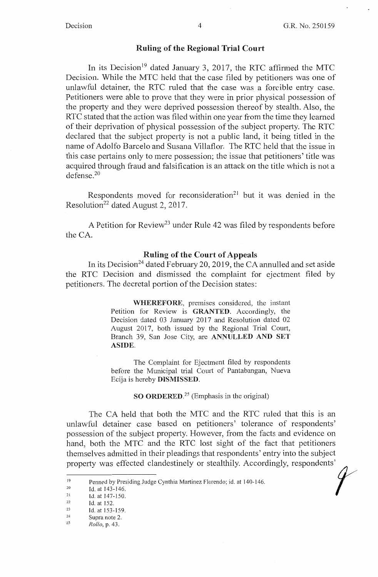/

 $\mathscr{C}$ 

## **Ruling of the Regional Trial Court**

In its Decision<sup>19</sup> dated January 3, 2017, the RTC affirmed the MTC Decision. While the MTC held that the case filed by petitioners was one of unlawful detainer, the RTC ruled that the case was a forcible entry case. Petitioners were able to prove that they were in prior physical possession of the property and they were deprived possession thereof by stealth. Also, the RTC stated that the action was filed within one year from the time they learned of their deprivation of physical possession of the subject property. The RTC declared that the subject property is not a public land, it being titled in the name of Adolfo Barcelo and Susana Villaflor. The RTC held that the issue in this case pertains only to mere possession; the issue that petitioners' title was acquired through fraud and falsification is an attack on the title which is not a defense. <sup>20</sup>

Respondents moved for reconsideration<sup>21</sup> but it was denied in the Resolution<sup>22</sup> dated August 2, 2017.

A Petition for Review<sup>23</sup> under Rule 42 was filed by respondents before the CA.

### **Ruling of the Court of Appeals**

In its Decision<sup>24</sup> dated February 20, 2019, the CA annulled and set aside the RTC Decision and dismissed the complaint for ejectment filed by petitioners. The decretal portion of the Decision states:

> **WHEREFORE,** premises considered, the instant Petition for Review is **GRANTED.** Accordingly, the Decision dated 03 January 2017 and Resolution dated 02 August 2017, both issued by the Regional Trial Court, Branch 39, San Jose City, are **ANNULLED AND SET ASIDE.**

> The Complaint for Ejectment filed by respondents before the Municipal trial Court of Pantabangan, Nueva Ecija is hereby **DISMISSED.**

> > **SO ORDERED.25** (Emphasis in the original)

The CA held that both the MTC and the RTC ruled that this is an unlawful detainer case based on petitioners' tolerance of respondents' possession of the subject property. However, from the facts and evidence on hand, both the MTC and the RTC lost sight of the fact that petitioners themselves admitted in their pleadings that respondents' entry into the subject property was effected clandestinely or stealthily. Accordingly, respondents'

<sup>19</sup>  Penned by Presiding Judge Cynthia Martinez Florendo; id. at 140-146.

<sup>20</sup>  Id. at 143-146.

<sup>21</sup> Id. at 147-150.<br>
22 Id. at 152.<br>
23 Id. at 153-159.

Supra note 2.

<sup>25</sup>  *Rollo,* p. 43.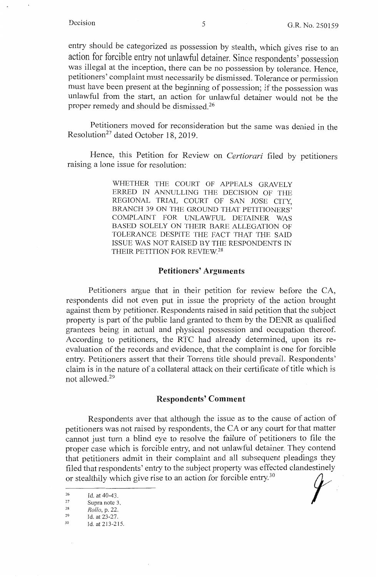entry should be categorized as possession by stealth, which gives rise to an action for forcible entry not unlawful detainer. Since respondents' possession was illegal at the inception, there can be no possession by tolerance. Hence, petitioners' complaint must necessarily be dismissed. Tolerance or permission must have been present at the beginning of possession; if the possession was unlawful from the start, an action for unlawful detainer would not be the proper remedy and should be dismissed.<sup>26</sup>

Petitioners moved for reconsideration but the same was denied in the Resolution<sup>27</sup> dated October 18, 2019.

Hence, this Petition for Review on *Certiorari* filed by petitioners raising a lone issue for resolution:

> WHETHER THE COURT OF APPEALS GRAVELY ERRED IN ANNULLING THE DECISION OF THE REGIONAL TRIAL COURT OF SAN JOSE CITY, BRANCH 39 ON THE GROUND THAT PETITIONERS' COMPLAINT FOR UNLAWFUL DETAINER WAS BASED SOLELY ON THEIR BARE ALLEGATION OF TOLERANCE DESPITE THE FACT THAT THE SAID ISSUE WAS NOT RAISED BY THE RESPONDENTS IN THEIR PETITION FOR REVIEW.<sup>28</sup>

### **Petitioners' Arguments**

Petitioners argue that in their petition for review before the CA, respondents did not even put in issue the propriety of the action brought against them by petitioner. Respondents raised in said petition that the subject property is part of the public land granted to them by the DENR as qualified grantees being in actual and physical possession and occupation thereof. According to petitioners, the RTC had already determined, upon its reevaluation of the records and evidence, that the complaint is one for forcible entry. Petitioners assert that their Torrens title should prevail. Respondents' claim is in the nature of a collateral attack on their certificate of title which is not allowed. 29

### **Respondents' Comment**

Respondents aver that although the issue as to the cause of action of petitioners was not raised by respondents, the CA or any court for that matter cannot just tum a blind eye to resolve the failure of petitioners to file the proper case which is forcible entry, and not unlawful detainer. They contend that petitioners admit in their complaint and all subsequent pleadings they filed that respondents' entry to the subject property was effected clandestinely proper case which is forcible entry, and not unlawful detainer. They contend<br>that petitioners admit in their complaint and all subsequent pleadings they<br>filed that respondents' entry to the subject property was effected cl

<sup>&</sup>lt;sup>26</sup> Id. at 40-43.<br>
<sup>27</sup> Supra note 3.<br> *Rollo, p.* 22.<br>
<sup>29</sup> Id. at 23-27.<br>
<sup>30</sup> Id. at 213-215.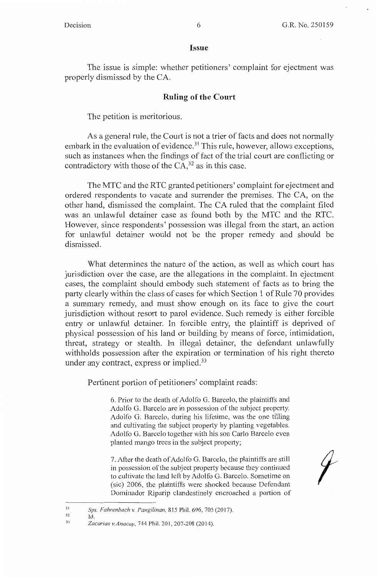### **Issue**

The issue is simple: whether petitioners' complaint for ejectment was properly dismissed by the CA.

### **Ruling of the Court**

The petition is meritorious.

As a general rule, the Court is not a trier of facts and does not normally embark in the evaluation of evidence.<sup>31</sup> This rule, however, allows exceptions, such as instances when the findings of fact of the trial court are conflicting or contradictory with those of the  $CA<sub>1</sub><sup>32</sup>$  as in this case.

The MTC and the RTC granted petitioners' complaint for ejectment and ordered respondents to vacate and surrender the premises. The CA, on the other hand, dismissed the complaint. The CA ruled that the complaint filed was an unlawful detainer case as found both by the MTC and the RTC. However, since respondents' possession was illegal from the start, an action for unlawful detainer would not be the proper remedy and should be dismissed.

What determines the nature of the action, as well as which court has jurisdiction over the case, are the allegations in the complaint. In ejectment cases, the complaint should embody such statement of facts as to bring the party clearly within the class of cases for which Section 1 of Rule 70 provides a summary remedy, and must show enough on its face to give the court jurisdiction without resort to parol evidence. Such remedy is either forcible entry or unlawful detainer. In forcible entry, the plaintiff is deprived of physical possession of his land or building by means of force, intimidation, threat, strategy or stealth. In illegal detainer, the defendant unlawfully withholds possession after the expiration or termination of his right thereto under any contract, express or implied.<sup>33</sup>

Pertinent portion of petitioners' complaint reads:

6. Prior to the death of Adolfo G. Barcelo, the plaintiffs and Adolfo G. Barcelo are in possession of the subject property. Adolfo G. Barcelo, during his lifetime, was the one tilling and cultivating the subject property by planting vegetables. Adolfo G. Barcelo together with his son Carlo Barcelo even planted mango trees in the subject property;

7. After the death of Adolfo G. Barcelo, the plaintiffs are still in possession of the subject property because they continued to cultivate the land left by Adolfo G. Barcelo. Sometime on (sic) 2006, the plaintiffs were shocked because Defendant Dominador Riparip clandestinely encroached a portion of

*f* 

33

Id.

<sup>3</sup> I 32 *Sps. Fahrenbach v. Pangilinan,* 815 Phil. 696, 705 (2017).

*Zacarias v.Anacay,* 744 Phil. 201, 207-208 (2014).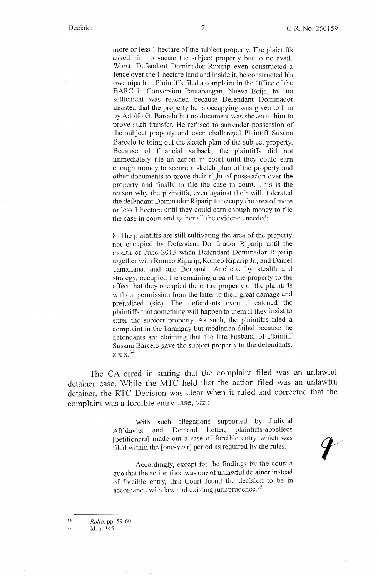more or less 1 hectare of the subject property. The plaintiffs asked him to vacate the subject property but to no avail. Worst, Defendant Dominador Riparip even constructed a fence over the 1 hectare land and inside it, he constructed his own nipa hut. Plaintiffs filed a complaint in the Office of the BARC in Conversion Pantabangan, Nueva Ecija, but no settlement was reached because Defendant Dominador insisted that the property he is occupying was given to him by Adolfo G. Barcelo but no document was shown to him to prove such transfer. He refused to surrender possession of the subject property and even challenged Plaintiff Susana Barcelo to bring out the sketch plan of the subject property. Because of financial setback, the plaintiffs did not immediately file an action in court until they could earn enough money to secure a sketch plan of the property and other documents to prove their right of possession over the property and finally to file the case in court. This is the reason why the plaintiffs, even against their will, tolerated the defendant Dominador Riparip to occupy the area of more or less 1 hectare until they could earn enough money to file the case in court and gather all the evidence needed;

8. The plaintiffs are still cultivating the area of the property not occupied by Defendant Dominador Riparip until the month of June 2013 when Defendant Dominador Riparip together with Romeo Riparip, Romeo Riparip Jr., and Daniel Tamallana, and one Benjamin Ancheta, by stealth and strategy, occupied the remaining area of the property to the effect that they occupied the entire property of the plaintiffs without permission from the latter to their great damage and prejudiced (sic). The defendants even threatened the plaintiffs that something will happen to them if they insist to enter the subject property. As such, the plaintiffs filed a complaint in the barangay but mediation failed because the defendants are claiming that the late husband of Plaintiff Susana Barcelo gave the subject property to the defendants.  $\ge$  X  $\ge$   $^{34}$ 

The CA erred in stating that the complaint filed was an unlawful detainer case. While the MTC held that the action filed was an unlawful detainer, the RTC Decision was clear when it ruled and corrected that the complaint was a forcible entry case, *viz.:* 

> With such allegations supported by Judicial Affidavits and Demand Letter, plaintiffs-appellees [petitioners] made out a case of forcible entry which was filed 'within the [one-year] period as required by the rules.

> Accordingly, except for the findings by the court a quo that the action filed was one of unlawful detainer instead of forcible entry, this Court found the decision to be in accordance with law and existing jurisprudence.<sup>35</sup>

34 *Rollo,* pp. 59-60.

35 Id. at 145.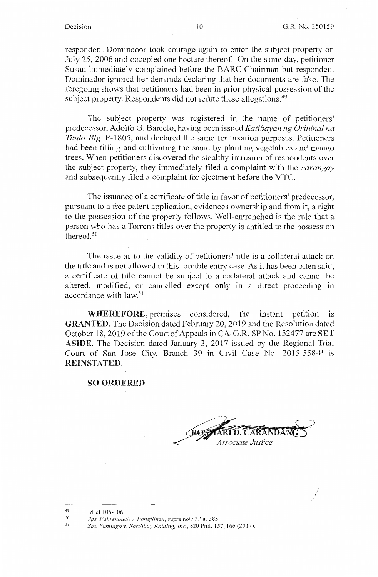respondent Dominador took courage again to enter the subject property on July 25, 2006 and occupied one hectare thereof. On the same day, petitioner Susan immediately complained before the BARC Chairman but respondent Dominador ignored her demands declaring that her documents are fake. The foregoing shows that petitioners had been in prior physical possession of the subject property. Respondents did not refute these allegations.<sup>49</sup>

The subject property was registered in the name of petitioners' predecessor, Adolfo G. Barcelo, having been issued *Katibayan ng Orihinal na Titulo Blg.* P-1805, and declared the same for taxation purposes. Petitioners had been tilling and cultivating the same by planting vegetables and mango trees. When petitioners discovered the stealthy intrusion of respondents over the subject property, they immediately filed a complaint with the *barangay*  and subsequently filed a complaint for ejectment before the MTC.

The issuance of a certificate of title in favor of petitioners' predecessor, pursuant to a free patent application, evidences ownership and from it, a right to the possession of the property follows. Well-entrenched is the rule that a person who has a Torrens titles over the property is entitled to the possession thereof.<sup>50</sup>

The issue as to the validity of petitioners' title is a collateral attack on the title and is not allowed in this forcible entry case. As it has been often said, a certificate of title cannot be subject to a collateral attack and cannot be altered, modified, or cancelled except only in a direct proceeding in accordance with law.<sup>51</sup>

**WHEREFORE,** premises considered, the instant petition is **GRANTED.** The Decision dated February 20, 2019 and the Resolution dated October 18, 2019 of the Court of Appeals in CA-G.R. SP No. 152477 are **SET ASIDE.** The Decision dated January 3, 2017 issued by the Regional Trial Court of San Jose City, Branch 39 in Civil Case No. 2015-558-P is **REINSTATED.** 

### **SO ORDERED.**

Associate Justice

<sup>49</sup>  Id. at 105-106.

<sup>50</sup>  *Sps. Fahrenbach v. Pangilinar;,* supra note 32 at 385.

<sup>51</sup>  *Sps. Santiago* 1,: *Northbay Knitting, Inc.,* 820 Phil. 157, 166 (2017).